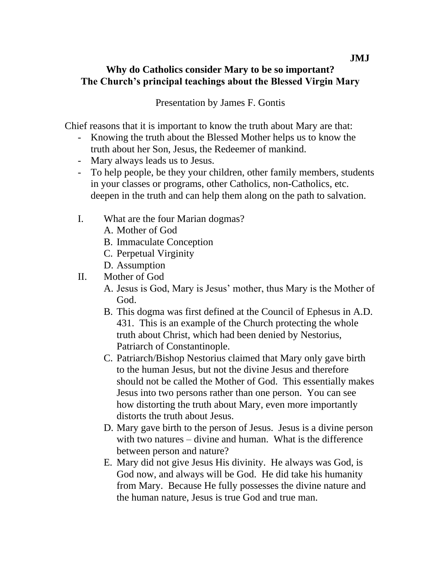## **Why do Catholics consider Mary to be so important? The Church's principal teachings about the Blessed Virgin Mary**

Presentation by James F. Gontis

Chief reasons that it is important to know the truth about Mary are that:

- Knowing the truth about the Blessed Mother helps us to know the truth about her Son, Jesus, the Redeemer of mankind.
- Mary always leads us to Jesus.
- To help people, be they your children, other family members, students in your classes or programs, other Catholics, non-Catholics, etc. deepen in the truth and can help them along on the path to salvation.
- I. What are the four Marian dogmas?
	- A. Mother of God
	- B. Immaculate Conception
	- C. Perpetual Virginity
	- D. Assumption
- II. Mother of God
	- A. Jesus is God, Mary is Jesus' mother, thus Mary is the Mother of God.
	- B. This dogma was first defined at the Council of Ephesus in A.D. 431. This is an example of the Church protecting the whole truth about Christ, which had been denied by Nestorius, Patriarch of Constantinople.
	- C. Patriarch/Bishop Nestorius claimed that Mary only gave birth to the human Jesus, but not the divine Jesus and therefore should not be called the Mother of God. This essentially makes Jesus into two persons rather than one person. You can see how distorting the truth about Mary, even more importantly distorts the truth about Jesus.
	- D. Mary gave birth to the person of Jesus. Jesus is a divine person with two natures – divine and human. What is the difference between person and nature?
	- E. Mary did not give Jesus His divinity. He always was God, is God now, and always will be God. He did take his humanity from Mary. Because He fully possesses the divine nature and the human nature, Jesus is true God and true man.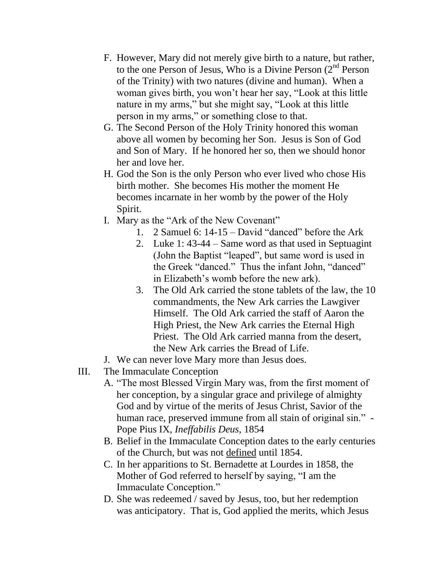- F. However, Mary did not merely give birth to a nature, but rather, to the one Person of Jesus, Who is a Divine Person  $(2<sup>nd</sup>$  Person of the Trinity) with two natures (divine and human). When a woman gives birth, you won't hear her say, "Look at this little nature in my arms," but she might say, "Look at this little person in my arms," or something close to that.
- G. The Second Person of the Holy Trinity honored this woman above all women by becoming her Son. Jesus is Son of God and Son of Mary. If he honored her so, then we should honor her and love her.
- H. God the Son is the only Person who ever lived who chose His birth mother. She becomes His mother the moment He becomes incarnate in her womb by the power of the Holy Spirit.
- I. Mary as the "Ark of the New Covenant"
	- 1. 2 Samuel 6: 14-15 David "danced" before the Ark
	- 2. Luke 1: 43-44 Same word as that used in Septuagint (John the Baptist "leaped", but same word is used in the Greek "danced." Thus the infant John, "danced" in Elizabeth's womb before the new ark).
	- 3. The Old Ark carried the stone tablets of the law, the 10 commandments, the New Ark carries the Lawgiver Himself. The Old Ark carried the staff of Aaron the High Priest, the New Ark carries the Eternal High Priest. The Old Ark carried manna from the desert, the New Ark carries the Bread of Life.
- J. We can never love Mary more than Jesus does.
- III. The Immaculate Conception
	- A. "The most Blessed Virgin Mary was, from the first moment of her conception, by a singular grace and privilege of almighty God and by virtue of the merits of Jesus Christ, Savior of the human race, preserved immune from all stain of original sin." - Pope Pius IX, *Ineffabilis Deus*, 1854
	- B. Belief in the Immaculate Conception dates to the early centuries of the Church, but was not defined until 1854.
	- C. In her apparitions to St. Bernadette at Lourdes in 1858, the Mother of God referred to herself by saying, "I am the Immaculate Conception."
	- D. She was redeemed / saved by Jesus, too, but her redemption was anticipatory. That is, God applied the merits, which Jesus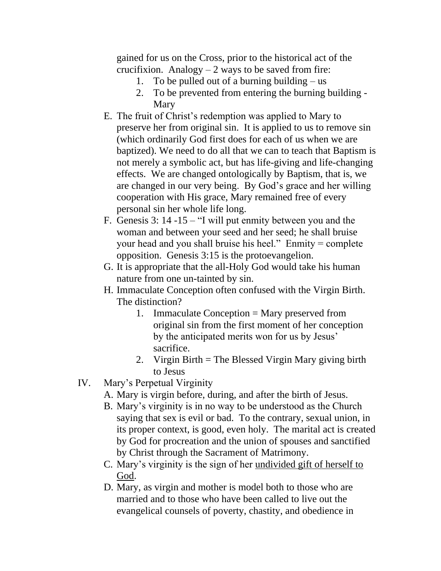gained for us on the Cross, prior to the historical act of the crucifixion. Analogy  $-2$  ways to be saved from fire:

- 1. To be pulled out of a burning building us
- 2. To be prevented from entering the burning building Mary
- E. The fruit of Christ's redemption was applied to Mary to preserve her from original sin. It is applied to us to remove sin (which ordinarily God first does for each of us when we are baptized). We need to do all that we can to teach that Baptism is not merely a symbolic act, but has life-giving and life-changing effects. We are changed ontologically by Baptism, that is, we are changed in our very being. By God's grace and her willing cooperation with His grace, Mary remained free of every personal sin her whole life long.
- F. Genesis 3: 14 -15 "I will put enmity between you and the woman and between your seed and her seed; he shall bruise your head and you shall bruise his heel." Enmity = complete opposition. Genesis 3:15 is the protoevangelion.
- G. It is appropriate that the all-Holy God would take his human nature from one un-tainted by sin.
- H. Immaculate Conception often confused with the Virgin Birth. The distinction?
	- 1. Immaculate Conception = Mary preserved from original sin from the first moment of her conception by the anticipated merits won for us by Jesus' sacrifice.
	- 2. Virgin Birth = The Blessed Virgin Mary giving birth to Jesus
- IV. Mary's Perpetual Virginity
	- A. Mary is virgin before, during, and after the birth of Jesus.
	- B. Mary's virginity is in no way to be understood as the Church saying that sex is evil or bad. To the contrary, sexual union, in its proper context, is good, even holy. The marital act is created by God for procreation and the union of spouses and sanctified by Christ through the Sacrament of Matrimony.
	- C. Mary's virginity is the sign of her undivided gift of herself to God.
	- D. Mary, as virgin and mother is model both to those who are married and to those who have been called to live out the evangelical counsels of poverty, chastity, and obedience in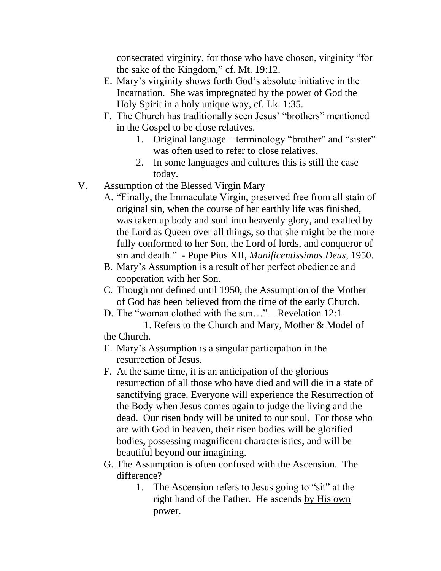consecrated virginity, for those who have chosen, virginity "for the sake of the Kingdom," cf. Mt. 19:12.

- E. Mary's virginity shows forth God's absolute initiative in the Incarnation. She was impregnated by the power of God the Holy Spirit in a holy unique way, cf. Lk. 1:35.
- F. The Church has traditionally seen Jesus' "brothers" mentioned in the Gospel to be close relatives.
	- 1. Original language terminology "brother" and "sister" was often used to refer to close relatives.
	- 2. In some languages and cultures this is still the case today.
- V. Assumption of the Blessed Virgin Mary
	- A. "Finally, the Immaculate Virgin, preserved free from all stain of original sin, when the course of her earthly life was finished, was taken up body and soul into heavenly glory, and exalted by the Lord as Queen over all things, so that she might be the more fully conformed to her Son, the Lord of lords, and conqueror of sin and death." - Pope Pius XII, *Munificentissimus Deus*, 1950.
	- B. Mary's Assumption is a result of her perfect obedience and cooperation with her Son.
	- C. Though not defined until 1950, the Assumption of the Mother of God has been believed from the time of the early Church.
	- D. The "woman clothed with the sun…" Revelation 12:1
	- 1. Refers to the Church and Mary, Mother & Model of the Church.
	- E. Mary's Assumption is a singular participation in the resurrection of Jesus.
	- F. At the same time, it is an anticipation of the glorious resurrection of all those who have died and will die in a state of sanctifying grace. Everyone will experience the Resurrection of the Body when Jesus comes again to judge the living and the dead. Our risen body will be united to our soul. For those who are with God in heaven, their risen bodies will be glorified bodies, possessing magnificent characteristics, and will be beautiful beyond our imagining.
	- G. The Assumption is often confused with the Ascension. The difference?
		- 1. The Ascension refers to Jesus going to "sit" at the right hand of the Father. He ascends by His own power.